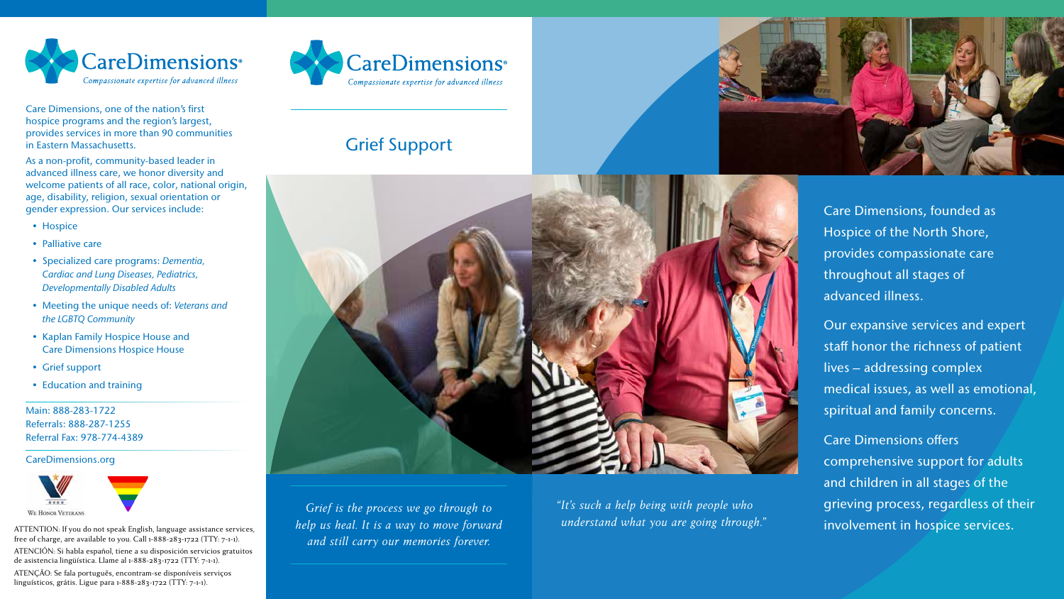

Care Dimensions, one of the nation's first hospice programs and the region's largest, provides services in more than 90 communities in Eastern Massachusetts.

As a non-profit, community-based leader in advanced illness care, we honor diversity and welcome patients of all race, color, national origin, age, disability, religion, sexual orientation or gender expression. Our services include:

- Hospice
- Palliative care
- Specialized care programs: *Dementia, Cardiac and Lung Diseases, Pediatrics, Developmentally Disabled Adults*
- Meeting the unique needs of: *Veterans and the LGBTQ Community*
- Kaplan Family Hospice House and Care Dimensions Hospice House
- Grief support
- Education and training

Main: 888-283-1722 Referrals: 888-287-1255 Referral Fax: 978-774-4389

CareDimensions.org



ATTENTION: If you do not speak English, language assistance services, free of charge, are available to you. Call 1-888-283-1722 (TTY: 7-1-1).

ATENCIÓN: Si habla español, tiene a su disposición servicios gratuitos de asistencia lingüística. Llame al 1-888-283-1722 (TTY: 7-1-1).

ATENÇÃO: Se fala português, encontram-se disponíveis serviços linguísticos, grátis. Ligue para 1-888-283-1722 (TTY: 7-1-1).



# Grief Support



*Grief is the process we go through to help us heal. It is a way to move forward and still carry our memories forever.* 

Care Dimensions, founded as Hospice of the North Shore, provides compassionate care throughout all stages of advanced illness.

Our expansive services and expert staff honor the richness of patient lives – addressing complex medical issues, as well as emotional, spiritual and family concerns.

Care Dimensions offers comprehensive support for adults and children in all stages of the grieving process, regardless of their involvement in hospice services.

*"It's such a help being with people who understand what you are going through."*